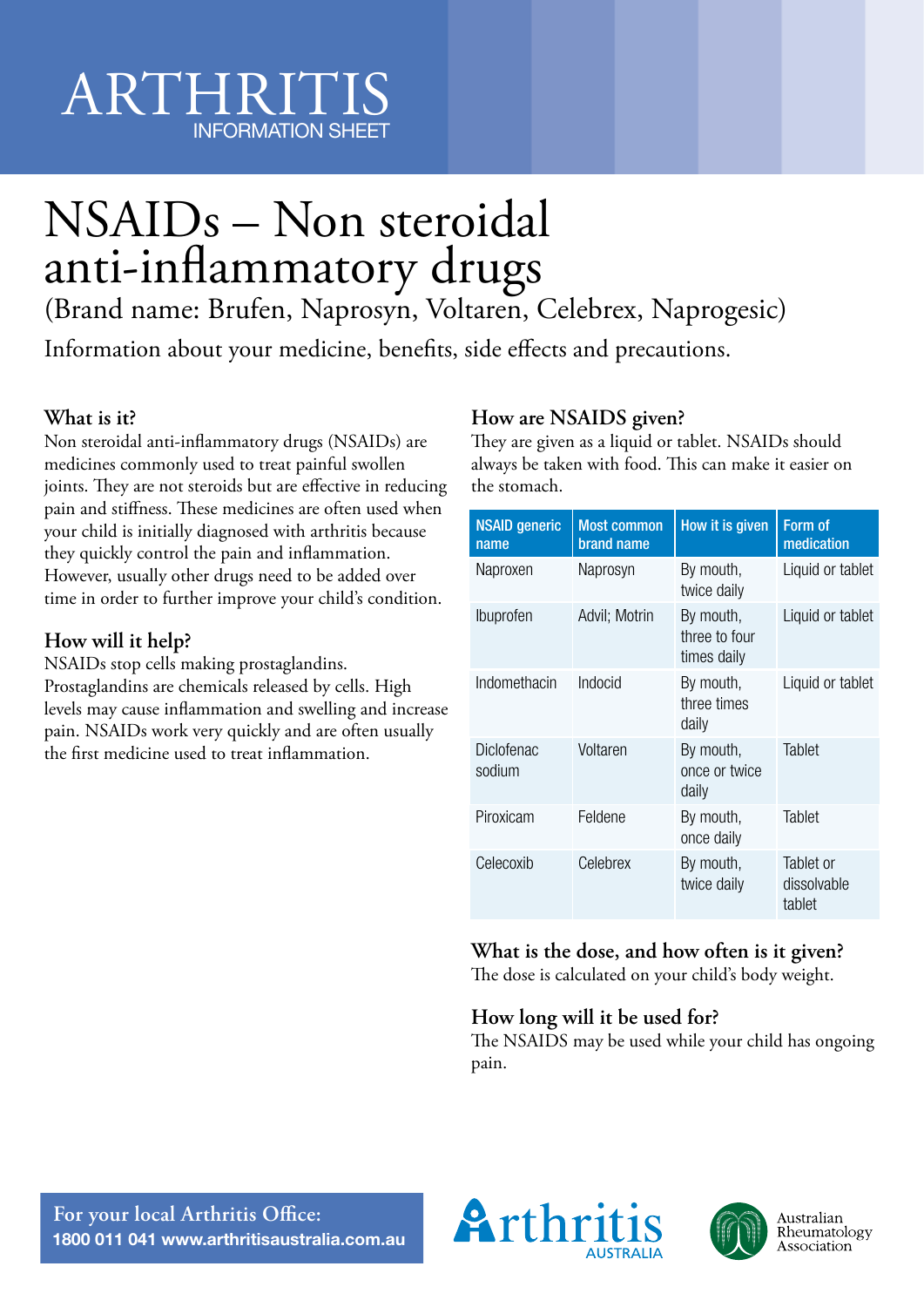# ARTHRIT INFORMATION SHEET

# NSAIDs – Non steroidal anti-inflammatory drugs

(Brand name: Brufen, Naprosyn, Voltaren, Celebrex, Naprogesic)

Information about your medicine, benefits, side effects and precautions.

#### **What is it?**

Non steroidal anti-inflammatory drugs (NSAIDs) are medicines commonly used to treat painful swollen joints. They are not steroids but are effective in reducing pain and stiffness. These medicines are often used when your child is initially diagnosed with arthritis because they quickly control the pain and inflammation. However, usually other drugs need to be added over time in order to further improve your child's condition.

#### **How will it help?**

NSAIDs stop cells making prostaglandins. Prostaglandins are chemicals released by cells. High levels may cause inflammation and swelling and increase pain. NSAIDs work very quickly and are often usually the first medicine used to treat inflammation.

#### **How are NSAIDS given?**

They are given as a liquid or tablet. NSAIDs should always be taken with food. This can make it easier on the stomach.

| <b>NSAID generic</b><br>name | <b>Most common</b><br>brand name | How it is given                           | Form of<br>medication              |
|------------------------------|----------------------------------|-------------------------------------------|------------------------------------|
| Naproxen                     | Naprosyn                         | By mouth,<br>twice daily                  | Liquid or tablet                   |
| <b>Ibuprofen</b>             | Advil; Motrin                    | By mouth,<br>three to four<br>times daily | Liquid or tablet                   |
| Indomethacin                 | Indocid                          | By mouth,<br>three times<br>daily         | Liquid or tablet                   |
| <b>Diclofenac</b><br>sodium  | Voltaren                         | By mouth,<br>once or twice<br>daily       | Tablet                             |
| Piroxicam                    | Feldene                          | By mouth,<br>once daily                   | Tablet                             |
| Celecoxib                    | Celebrex                         | By mouth,<br>twice daily                  | Tablet or<br>dissolvable<br>tablet |

### **What is the dose, and how often is it given?**

The dose is calculated on your child's body weight.

#### **How long will it be used for?**

The NSAIDS may be used while your child has ongoing pain.